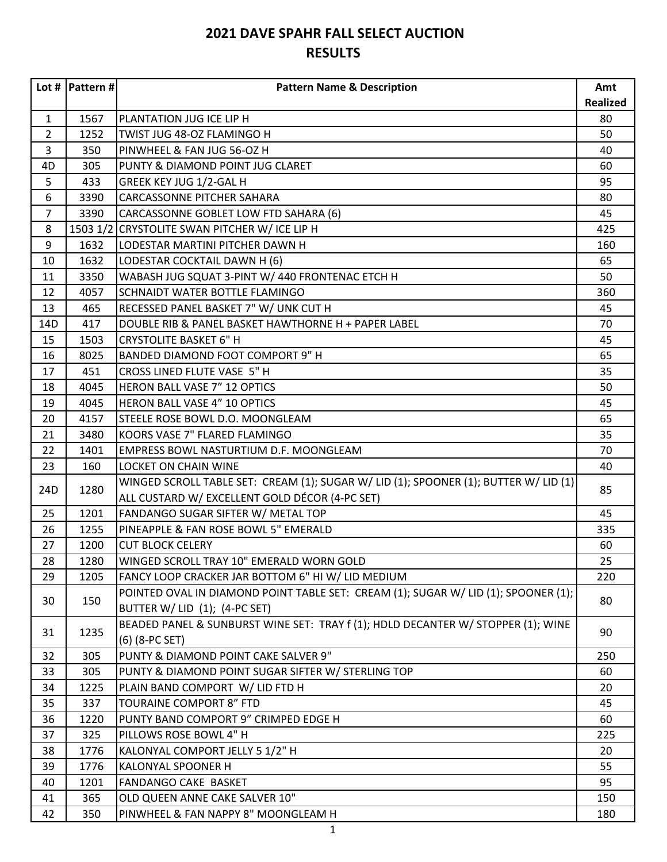|                 | Lot #   Pattern # $ $ | <b>Pattern Name &amp; Description</b>                                                | Amt             |
|-----------------|-----------------------|--------------------------------------------------------------------------------------|-----------------|
|                 |                       |                                                                                      | <b>Realized</b> |
| $\mathbf{1}$    | 1567                  | PLANTATION JUG ICE LIP H                                                             | 80              |
| $\overline{2}$  | 1252                  | TWIST JUG 48-OZ FLAMINGO H                                                           | 50              |
| 3               | 350                   | PINWHEEL & FAN JUG 56-OZ H                                                           | 40              |
| 4D              | 305                   | PUNTY & DIAMOND POINT JUG CLARET                                                     | 60              |
| 5               | 433                   | GREEK KEY JUG 1/2-GAL H                                                              | 95              |
| 6               | 3390                  | CARCASSONNE PITCHER SAHARA                                                           | 80              |
| $\overline{7}$  | 3390                  | CARCASSONNE GOBLET LOW FTD SAHARA (6)                                                | 45              |
| 8               |                       | 1503 1/2 CRYSTOLITE SWAN PITCHER W/ ICE LIP H                                        | 425             |
| 9               | 1632                  | LODESTAR MARTINI PITCHER DAWN H                                                      | 160             |
| 10              | 1632                  | LODESTAR COCKTAIL DAWN H (6)                                                         | 65              |
| 11              | 3350                  | WABASH JUG SQUAT 3-PINT W/ 440 FRONTENAC ETCH H                                      | 50              |
| 12              | 4057                  | SCHNAIDT WATER BOTTLE FLAMINGO                                                       | 360             |
| 13              | 465                   | RECESSED PANEL BASKET 7" W/ UNK CUT H                                                | 45              |
| 14D             | 417                   | DOUBLE RIB & PANEL BASKET HAWTHORNE H + PAPER LABEL                                  | 70              |
| 15              | 1503                  | <b>CRYSTOLITE BASKET 6" H</b>                                                        | 45              |
| 16              | 8025                  | BANDED DIAMOND FOOT COMPORT 9" H                                                     | 65              |
| 17              | 451                   | CROSS LINED FLUTE VASE 5" H                                                          | 35              |
| 18              | 4045                  | HERON BALL VASE 7" 12 OPTICS                                                         | 50              |
| 19              | 4045                  | HERON BALL VASE 4" 10 OPTICS                                                         | 45              |
| 20              | 4157                  | STEELE ROSE BOWL D.O. MOONGLEAM                                                      | 65              |
| 21              | 3480                  | KOORS VASE 7" FLARED FLAMINGO                                                        | 35              |
| 22              | 1401                  | EMPRESS BOWL NASTURTIUM D.F. MOONGLEAM                                               | 70              |
| 23              | 160                   | <b>LOCKET ON CHAIN WINE</b>                                                          | 40              |
|                 | 1280                  | WINGED SCROLL TABLE SET: CREAM (1); SUGAR W/ LID (1); SPOONER (1); BUTTER W/ LID (1) |                 |
| 24 <sub>D</sub> |                       | ALL CUSTARD W/ EXCELLENT GOLD DÉCOR (4-PC SET)                                       | 85              |
| 25              | 1201                  | FANDANGO SUGAR SIFTER W/ METAL TOP                                                   | 45              |
| 26              | 1255                  | PINEAPPLE & FAN ROSE BOWL 5" EMERALD                                                 | 335             |
| 27              | 1200                  | <b>CUT BLOCK CELERY</b>                                                              | 60              |
| 28              | 1280                  | WINGED SCROLL TRAY 10" EMERALD WORN GOLD                                             | 25              |
| 29              | 1205                  | FANCY LOOP CRACKER JAR BOTTOM 6" HI W/ LID MEDIUM                                    | 220             |
|                 |                       | POINTED OVAL IN DIAMOND POINT TABLE SET: CREAM (1); SUGAR W/ LID (1); SPOONER (1);   |                 |
| 30              | 150                   | BUTTER W/ LID (1); (4-PC SET)                                                        | 80              |
|                 |                       | BEADED PANEL & SUNBURST WINE SET: TRAY f (1); HDLD DECANTER W/ STOPPER (1); WINE     |                 |
| 31              | 1235                  | (6) (8-PC SET)                                                                       | 90              |
| 32              | 305                   | PUNTY & DIAMOND POINT CAKE SALVER 9"                                                 | 250             |
| 33              | 305                   | PUNTY & DIAMOND POINT SUGAR SIFTER W/ STERLING TOP                                   | 60              |
| 34              | 1225                  | PLAIN BAND COMPORT W/ LID FTD H                                                      | 20              |
| 35              | 337                   | TOURAINE COMPORT 8" FTD                                                              | 45              |
| 36              | 1220                  | PUNTY BAND COMPORT 9" CRIMPED EDGE H                                                 | 60              |
| 37              | 325                   | PILLOWS ROSE BOWL 4" H                                                               | 225             |
| 38              | 1776                  | KALONYAL COMPORT JELLY 5 1/2" H                                                      | 20              |
| 39              | 1776                  | KALONYAL SPOONER H                                                                   | 55              |
| 40              | 1201                  | FANDANGO CAKE BASKET                                                                 | 95              |
| 41              | 365                   | OLD QUEEN ANNE CAKE SALVER 10"                                                       | 150             |
| 42              | 350                   | PINWHEEL & FAN NAPPY 8" MOONGLEAM H                                                  | 180             |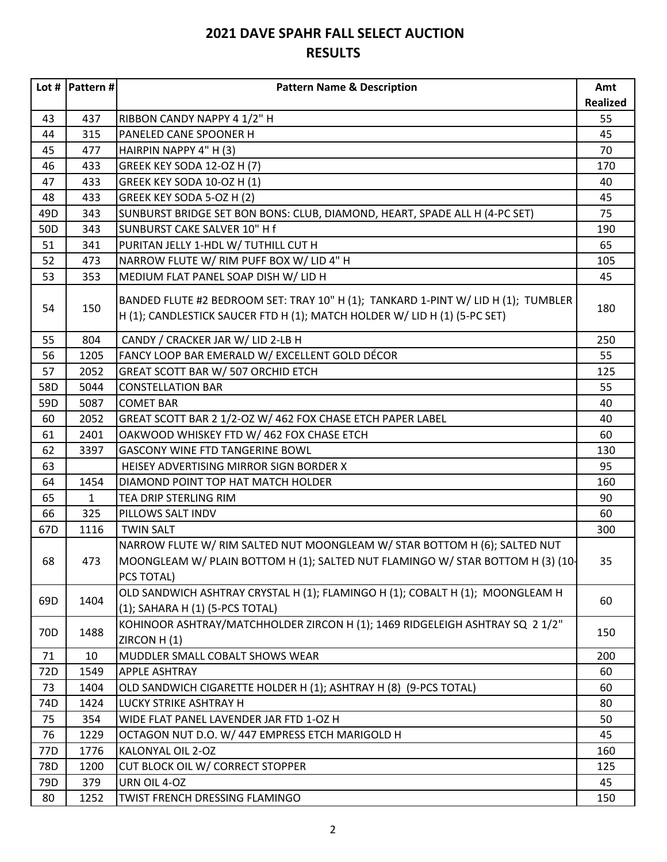|                 | Lot #   Pattern # $ $ | <b>Pattern Name &amp; Description</b>                                                                                                                                     | Amt             |
|-----------------|-----------------------|---------------------------------------------------------------------------------------------------------------------------------------------------------------------------|-----------------|
|                 |                       |                                                                                                                                                                           | <b>Realized</b> |
| 43              | 437                   | RIBBON CANDY NAPPY 4 1/2" H                                                                                                                                               | 55              |
| 44              | 315                   | PANELED CANE SPOONER H                                                                                                                                                    | 45              |
| 45              | 477                   | HAIRPIN NAPPY 4" H (3)                                                                                                                                                    | 70              |
| 46              | 433                   | GREEK KEY SODA 12-OZ H (7)                                                                                                                                                | 170             |
| 47              | 433                   | GREEK KEY SODA 10-OZ H (1)                                                                                                                                                | 40              |
| 48              | 433                   | GREEK KEY SODA 5-OZ H (2)                                                                                                                                                 | 45              |
| 49 <sub>D</sub> | 343                   | SUNBURST BRIDGE SET BON BONS: CLUB, DIAMOND, HEART, SPADE ALL H (4-PC SET)                                                                                                | 75              |
| 50 <sub>D</sub> | 343                   | SUNBURST CAKE SALVER 10" H f                                                                                                                                              | 190             |
| 51              | 341                   | PURITAN JELLY 1-HDL W/ TUTHILL CUT H                                                                                                                                      | 65              |
| 52              | 473                   | NARROW FLUTE W/ RIM PUFF BOX W/ LID 4" H                                                                                                                                  | 105             |
| 53              | 353                   | MEDIUM FLAT PANEL SOAP DISH W/ LID H                                                                                                                                      | 45              |
| 54              | 150                   | BANDED FLUTE #2 BEDROOM SET: TRAY 10" H (1); TANKARD 1-PINT W/ LID H (1); TUMBLER<br>H (1); CANDLESTICK SAUCER FTD H (1); MATCH HOLDER W/ LID H (1) (5-PC SET)            | 180             |
| 55              | 804                   | CANDY / CRACKER JAR W/ LID 2-LB H                                                                                                                                         | 250             |
| 56              | 1205                  | FANCY LOOP BAR EMERALD W/ EXCELLENT GOLD DÉCOR                                                                                                                            | 55              |
| 57              | 2052                  | GREAT SCOTT BAR W/ 507 ORCHID ETCH                                                                                                                                        | 125             |
| 58D             | 5044                  | <b>CONSTELLATION BAR</b>                                                                                                                                                  | 55              |
| 59D             | 5087                  | <b>COMET BAR</b>                                                                                                                                                          | 40              |
| 60              | 2052                  | GREAT SCOTT BAR 2 1/2-OZ W/ 462 FOX CHASE ETCH PAPER LABEL                                                                                                                | 40              |
| 61              | 2401                  | OAKWOOD WHISKEY FTD W/ 462 FOX CHASE ETCH                                                                                                                                 | 60              |
| 62              | 3397                  | <b>GASCONY WINE FTD TANGERINE BOWL</b>                                                                                                                                    | 130             |
| 63              |                       | HEISEY ADVERTISING MIRROR SIGN BORDER X                                                                                                                                   | 95              |
| 64              | 1454                  | DIAMOND POINT TOP HAT MATCH HOLDER                                                                                                                                        | 160             |
| 65              | $\mathbf{1}$          | TEA DRIP STERLING RIM                                                                                                                                                     | 90              |
| 66              | 325                   | PILLOWS SALT INDV                                                                                                                                                         | 60              |
| 67D             | 1116                  | <b>TWIN SALT</b>                                                                                                                                                          | 300             |
| 68              | 473                   | NARROW FLUTE W/ RIM SALTED NUT MOONGLEAM W/ STAR BOTTOM H (6); SALTED NUT<br>MOONGLEAM W/ PLAIN BOTTOM H (1); SALTED NUT FLAMINGO W/ STAR BOTTOM H (3) (10-<br>PCS TOTAL) | 35              |
| 69D             | 1404                  | OLD SANDWICH ASHTRAY CRYSTAL H (1); FLAMINGO H (1); COBALT H (1); MOONGLEAM H<br>(1); SAHARA H (1) (5-PCS TOTAL)                                                          | 60              |
| 70 <sub>D</sub> | 1488                  | KOHINOOR ASHTRAY/MATCHHOLDER ZIRCON H (1); 1469 RIDGELEIGH ASHTRAY SQ 2 1/2"<br>ZIRCON H(1)                                                                               | 150             |
| 71              | 10                    | MUDDLER SMALL COBALT SHOWS WEAR                                                                                                                                           | 200             |
| 72D             | 1549                  | <b>APPLE ASHTRAY</b>                                                                                                                                                      | 60              |
| 73              | 1404                  | OLD SANDWICH CIGARETTE HOLDER H (1); ASHTRAY H (8) (9-PCS TOTAL)                                                                                                          | 60              |
| 74D             | 1424                  | LUCKY STRIKE ASHTRAY H                                                                                                                                                    | 80              |
| 75              | 354                   | WIDE FLAT PANEL LAVENDER JAR FTD 1-OZ H                                                                                                                                   | 50              |
| 76              | 1229                  | OCTAGON NUT D.O. W/ 447 EMPRESS ETCH MARIGOLD H                                                                                                                           | 45              |
| 77D             | 1776                  | KALONYAL OIL 2-OZ                                                                                                                                                         | 160             |
| 78D             | 1200                  | CUT BLOCK OIL W/ CORRECT STOPPER                                                                                                                                          | 125             |
| 79D             | 379                   | URN OIL 4-OZ                                                                                                                                                              | 45              |
| 80              | 1252                  | TWIST FRENCH DRESSING FLAMINGO                                                                                                                                            | 150             |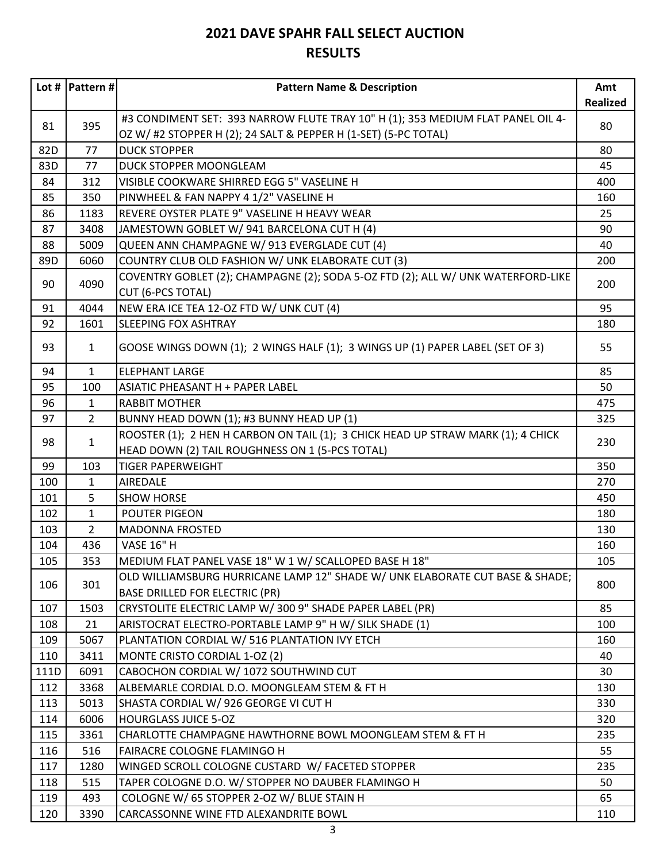|      | Lot #   Pattern # $ $ | <b>Pattern Name &amp; Description</b>                                            | Amt             |
|------|-----------------------|----------------------------------------------------------------------------------|-----------------|
|      |                       |                                                                                  | <b>Realized</b> |
|      |                       | #3 CONDIMENT SET: 393 NARROW FLUTE TRAY 10" H (1); 353 MEDIUM FLAT PANEL OIL 4-  |                 |
| 81   | 395                   | OZ W/ #2 STOPPER H (2); 24 SALT & PEPPER H (1-SET) (5-PC TOTAL)                  | 80              |
| 82D  | 77                    | <b>DUCK STOPPER</b>                                                              | 80              |
| 83D  | 77                    | DUCK STOPPER MOONGLEAM                                                           | 45              |
| 84   | 312                   | VISIBLE COOKWARE SHIRRED EGG 5" VASELINE H                                       | 400             |
| 85   | 350                   | PINWHEEL & FAN NAPPY 4 1/2" VASELINE H                                           | 160             |
| 86   | 1183                  | REVERE OYSTER PLATE 9" VASELINE H HEAVY WEAR                                     | 25              |
| 87   | 3408                  | JAMESTOWN GOBLET W/ 941 BARCELONA CUT H (4)                                      | 90              |
| 88   | 5009                  | QUEEN ANN CHAMPAGNE W/ 913 EVERGLADE CUT (4)                                     | 40              |
| 89D  | 6060                  | COUNTRY CLUB OLD FASHION W/ UNK ELABORATE CUT (3)                                | 200             |
| 90   | 4090                  | COVENTRY GOBLET (2); CHAMPAGNE (2); SODA 5-OZ FTD (2); ALL W/ UNK WATERFORD-LIKE | 200             |
|      |                       | <b>CUT (6-PCS TOTAL)</b>                                                         |                 |
| 91   | 4044                  | NEW ERA ICE TEA 12-OZ FTD W/ UNK CUT (4)                                         | 95              |
| 92   | 1601                  | <b>SLEEPING FOX ASHTRAY</b>                                                      | 180             |
| 93   | $\mathbf{1}$          | GOOSE WINGS DOWN (1); 2 WINGS HALF (1); 3 WINGS UP (1) PAPER LABEL (SET OF 3)    | 55              |
| 94   | $\mathbf{1}$          | <b>ELEPHANT LARGE</b>                                                            | 85              |
| 95   | 100                   | ASIATIC PHEASANT H + PAPER LABEL                                                 | 50              |
| 96   | 1                     | <b>RABBIT MOTHER</b>                                                             | 475             |
| 97   | $\overline{2}$        | BUNNY HEAD DOWN (1); #3 BUNNY HEAD UP (1)                                        | 325             |
|      |                       | ROOSTER (1); 2 HEN H CARBON ON TAIL (1); 3 CHICK HEAD UP STRAW MARK (1); 4 CHICK |                 |
| 98   | $\mathbf{1}$          | HEAD DOWN (2) TAIL ROUGHNESS ON 1 (5-PCS TOTAL)                                  | 230             |
| 99   | 103                   | <b>TIGER PAPERWEIGHT</b>                                                         | 350             |
| 100  | 1                     | AIREDALE                                                                         | 270             |
| 101  | 5                     | <b>SHOW HORSE</b>                                                                | 450             |
| 102  | $\mathbf{1}$          | <b>POUTER PIGEON</b>                                                             | 180             |
| 103  | $\overline{2}$        | <b>MADONNA FROSTED</b>                                                           | 130             |
| 104  | 436                   | <b>VASE 16" H</b>                                                                | 160             |
| 105  | 353                   | MEDIUM FLAT PANEL VASE 18" W 1 W/ SCALLOPED BASE H 18"                           | 105             |
|      |                       | OLD WILLIAMSBURG HURRICANE LAMP 12" SHADE W/ UNK ELABORATE CUT BASE & SHADE;     |                 |
| 106  | 301                   | <b>BASE DRILLED FOR ELECTRIC (PR)</b>                                            | 800             |
| 107  | 1503                  | CRYSTOLITE ELECTRIC LAMP W/300 9" SHADE PAPER LABEL (PR)                         | 85              |
| 108  | 21                    | ARISTOCRAT ELECTRO-PORTABLE LAMP 9" H W/ SILK SHADE (1)                          | 100             |
| 109  | 5067                  | PLANTATION CORDIAL W/ 516 PLANTATION IVY ETCH                                    | 160             |
| 110  | 3411                  | MONTE CRISTO CORDIAL 1-OZ (2)                                                    | 40              |
| 111D | 6091                  | CABOCHON CORDIAL W/ 1072 SOUTHWIND CUT                                           | 30              |
| 112  | 3368                  | ALBEMARLE CORDIAL D.O. MOONGLEAM STEM & FT H                                     | 130             |
| 113  | 5013                  | SHASTA CORDIAL W/ 926 GEORGE VI CUT H                                            | 330             |
| 114  | 6006                  | <b>HOURGLASS JUICE 5-OZ</b>                                                      | 320             |
| 115  | 3361                  | CHARLOTTE CHAMPAGNE HAWTHORNE BOWL MOONGLEAM STEM & FT H                         | 235             |
| 116  | 516                   | FAIRACRE COLOGNE FLAMINGO H                                                      | 55              |
| 117  | 1280                  | WINGED SCROLL COLOGNE CUSTARD W/ FACETED STOPPER                                 | 235             |
| 118  | 515                   | TAPER COLOGNE D.O. W/ STOPPER NO DAUBER FLAMINGO H                               | 50              |
| 119  | 493                   | COLOGNE W/ 65 STOPPER 2-OZ W/ BLUE STAIN H                                       | 65              |
| 120  | 3390                  | CARCASSONNE WINE FTD ALEXANDRITE BOWL                                            | 110             |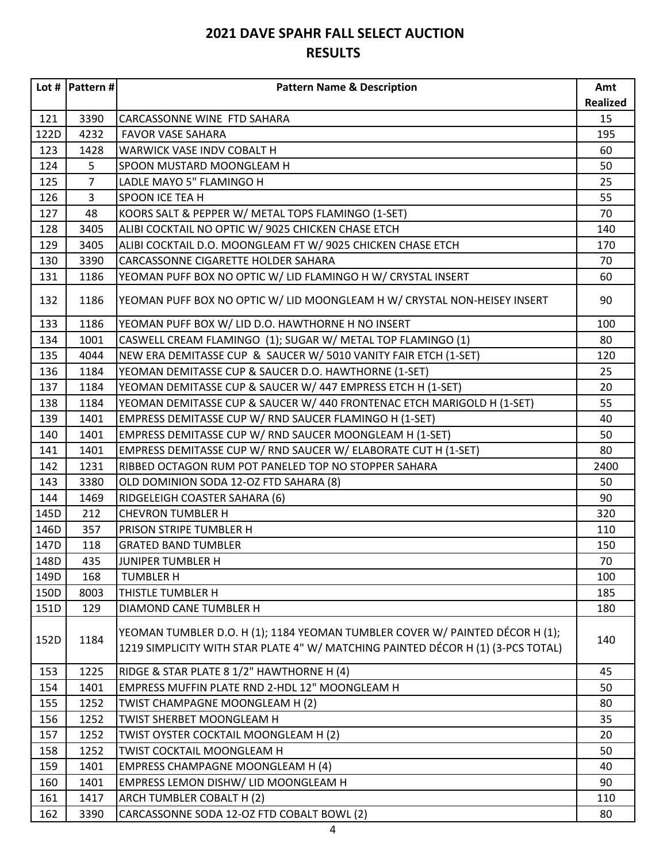|      | Lot #   Pattern # $ $ | <b>Pattern Name &amp; Description</b>                                                                                                                            | Amt             |
|------|-----------------------|------------------------------------------------------------------------------------------------------------------------------------------------------------------|-----------------|
|      |                       |                                                                                                                                                                  | <b>Realized</b> |
| 121  | 3390                  | CARCASSONNE WINE FTD SAHARA                                                                                                                                      | 15              |
| 122D | 4232                  | <b>FAVOR VASE SAHARA</b>                                                                                                                                         | 195             |
| 123  | 1428                  | WARWICK VASE INDV COBALT H                                                                                                                                       | 60              |
| 124  | 5                     | SPOON MUSTARD MOONGLEAM H                                                                                                                                        | 50              |
| 125  | $\overline{7}$        | LADLE MAYO 5" FLAMINGO H                                                                                                                                         | 25              |
| 126  | 3                     | SPOON ICE TEA H                                                                                                                                                  | 55              |
| 127  | 48                    | KOORS SALT & PEPPER W/ METAL TOPS FLAMINGO (1-SET)                                                                                                               | 70              |
| 128  | 3405                  | ALIBI COCKTAIL NO OPTIC W/ 9025 CHICKEN CHASE ETCH                                                                                                               | 140             |
| 129  | 3405                  | ALIBI COCKTAIL D.O. MOONGLEAM FT W/ 9025 CHICKEN CHASE ETCH                                                                                                      | 170             |
| 130  | 3390                  | CARCASSONNE CIGARETTE HOLDER SAHARA                                                                                                                              | 70              |
| 131  | 1186                  | YEOMAN PUFF BOX NO OPTIC W/ LID FLAMINGO H W/ CRYSTAL INSERT                                                                                                     | 60              |
| 132  | 1186                  | YEOMAN PUFF BOX NO OPTIC W/ LID MOONGLEAM H W/ CRYSTAL NON-HEISEY INSERT                                                                                         | 90              |
| 133  | 1186                  | YEOMAN PUFF BOX W/ LID D.O. HAWTHORNE H NO INSERT                                                                                                                | 100             |
| 134  | 1001                  | CASWELL CREAM FLAMINGO (1); SUGAR W/ METAL TOP FLAMINGO (1)                                                                                                      | 80              |
| 135  | 4044                  | NEW ERA DEMITASSE CUP & SAUCER W/ 5010 VANITY FAIR ETCH (1-SET)                                                                                                  | 120             |
| 136  | 1184                  | YEOMAN DEMITASSE CUP & SAUCER D.O. HAWTHORNE (1-SET)                                                                                                             | 25              |
| 137  | 1184                  | YEOMAN DEMITASSE CUP & SAUCER W/ 447 EMPRESS ETCH H (1-SET)                                                                                                      | 20              |
| 138  | 1184                  | YEOMAN DEMITASSE CUP & SAUCER W/ 440 FRONTENAC ETCH MARIGOLD H (1-SET)                                                                                           | 55              |
| 139  | 1401                  | EMPRESS DEMITASSE CUP W/ RND SAUCER FLAMINGO H (1-SET)                                                                                                           | 40              |
| 140  | 1401                  | EMPRESS DEMITASSE CUP W/ RND SAUCER MOONGLEAM H (1-SET)                                                                                                          | 50              |
| 141  | 1401                  | EMPRESS DEMITASSE CUP W/ RND SAUCER W/ ELABORATE CUT H (1-SET)                                                                                                   | 80              |
| 142  | 1231                  | RIBBED OCTAGON RUM POT PANELED TOP NO STOPPER SAHARA                                                                                                             | 2400            |
| 143  | 3380                  | OLD DOMINION SODA 12-OZ FTD SAHARA (8)                                                                                                                           | 50              |
| 144  | 1469                  | RIDGELEIGH COASTER SAHARA (6)                                                                                                                                    | 90              |
| 145D | 212                   | <b>CHEVRON TUMBLER H</b>                                                                                                                                         | 320             |
| 146D | 357                   | PRISON STRIPE TUMBLER H                                                                                                                                          | 110             |
| 147D | 118                   | <b>GRATED BAND TUMBLER</b>                                                                                                                                       | 150             |
| 148D | 435                   | JUNIPER TUMBLER H                                                                                                                                                | 70              |
| 149D | 168                   | <b>TUMBLER H</b>                                                                                                                                                 | 100             |
| 150D | 8003                  | THISTLE TUMBLER H                                                                                                                                                | 185             |
| 151D | 129                   | DIAMOND CANE TUMBLER H                                                                                                                                           | 180             |
| 152D | 1184                  | YEOMAN TUMBLER D.O. H (1); 1184 YEOMAN TUMBLER COVER W/ PAINTED DÉCOR H (1);<br>1219 SIMPLICITY WITH STAR PLATE 4" W/ MATCHING PAINTED DÉCOR H (1) (3-PCS TOTAL) | 140             |
| 153  | 1225                  | RIDGE & STAR PLATE 8 1/2" HAWTHORNE H (4)                                                                                                                        | 45              |
| 154  | 1401                  | EMPRESS MUFFIN PLATE RND 2-HDL 12" MOONGLEAM H                                                                                                                   | 50              |
| 155  | 1252                  | TWIST CHAMPAGNE MOONGLEAM H (2)                                                                                                                                  | 80              |
| 156  | 1252                  | TWIST SHERBET MOONGLEAM H                                                                                                                                        | 35              |
| 157  | 1252                  | TWIST OYSTER COCKTAIL MOONGLEAM H (2)                                                                                                                            | 20              |
| 158  | 1252                  | TWIST COCKTAIL MOONGLEAM H                                                                                                                                       | 50              |
| 159  | 1401                  | EMPRESS CHAMPAGNE MOONGLEAM H (4)                                                                                                                                | 40              |
| 160  | 1401                  | EMPRESS LEMON DISHW/ LID MOONGLEAM H                                                                                                                             | 90              |
| 161  | 1417                  | ARCH TUMBLER COBALT H (2)                                                                                                                                        | 110             |
| 162  | 3390                  | CARCASSONNE SODA 12-OZ FTD COBALT BOWL (2)                                                                                                                       | 80              |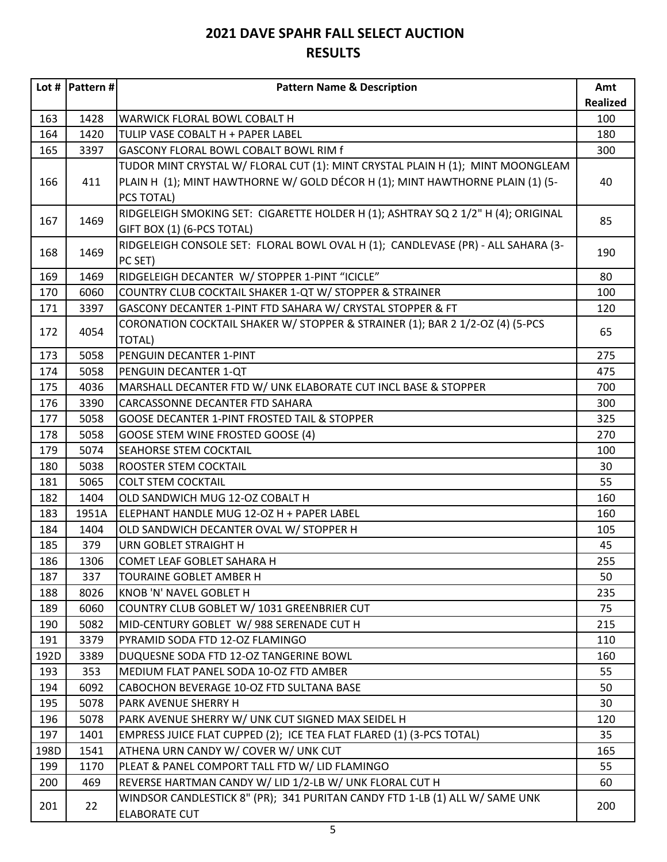|      | Lot #   Pattern # $ $ | <b>Pattern Name &amp; Description</b>                                             | Amt             |
|------|-----------------------|-----------------------------------------------------------------------------------|-----------------|
|      |                       |                                                                                   | <b>Realized</b> |
| 163  | 1428                  | WARWICK FLORAL BOWL COBALT H                                                      | 100             |
| 164  | 1420                  | TULIP VASE COBALT H + PAPER LABEL                                                 | 180             |
| 165  | 3397                  | GASCONY FLORAL BOWL COBALT BOWL RIM f                                             | 300             |
|      |                       | TUDOR MINT CRYSTAL W/ FLORAL CUT (1): MINT CRYSTAL PLAIN H (1); MINT MOONGLEAM    |                 |
| 166  | 411                   | PLAIN H (1); MINT HAWTHORNE W/ GOLD DÉCOR H (1); MINT HAWTHORNE PLAIN (1) (5-     | 40              |
|      |                       | PCS TOTAL)                                                                        |                 |
| 167  | 1469                  | RIDGELEIGH SMOKING SET: CIGARETTE HOLDER H (1); ASHTRAY SQ 2 1/2" H (4); ORIGINAL | 85              |
|      |                       | GIFT BOX (1) (6-PCS TOTAL)                                                        |                 |
| 168  | 1469                  | RIDGELEIGH CONSOLE SET: FLORAL BOWL OVAL H (1); CANDLEVASE (PR) - ALL SAHARA (3-  | 190             |
|      |                       | PC SET)                                                                           |                 |
| 169  | 1469                  | RIDGELEIGH DECANTER W/ STOPPER 1-PINT "ICICLE"                                    | 80              |
| 170  | 6060                  | COUNTRY CLUB COCKTAIL SHAKER 1-QT W/ STOPPER & STRAINER                           | 100             |
| 171  | 3397                  | GASCONY DECANTER 1-PINT FTD SAHARA W/ CRYSTAL STOPPER & FT                        | 120             |
| 172  | 4054                  | CORONATION COCKTAIL SHAKER W/ STOPPER & STRAINER (1); BAR 2 1/2-OZ (4) (5-PCS     | 65              |
|      |                       | <b>TOTAL)</b>                                                                     |                 |
| 173  | 5058                  | PENGUIN DECANTER 1-PINT                                                           | 275             |
| 174  | 5058                  | PENGUIN DECANTER 1-QT                                                             | 475             |
| 175  | 4036                  | MARSHALL DECANTER FTD W/ UNK ELABORATE CUT INCL BASE & STOPPER                    | 700             |
| 176  | 3390                  | CARCASSONNE DECANTER FTD SAHARA                                                   | 300             |
| 177  | 5058                  | <b>GOOSE DECANTER 1-PINT FROSTED TAIL &amp; STOPPER</b>                           | 325             |
| 178  | 5058                  | <b>GOOSE STEM WINE FROSTED GOOSE (4)</b>                                          | 270             |
| 179  | 5074                  | SEAHORSE STEM COCKTAIL                                                            | 100             |
| 180  | 5038                  | ROOSTER STEM COCKTAIL                                                             | 30              |
| 181  | 5065                  | <b>COLT STEM COCKTAIL</b>                                                         | 55              |
| 182  | 1404                  | OLD SANDWICH MUG 12-OZ COBALT H                                                   | 160             |
| 183  | 1951A                 | ELEPHANT HANDLE MUG 12-OZ H + PAPER LABEL                                         | 160             |
| 184  | 1404                  | OLD SANDWICH DECANTER OVAL W/ STOPPER H                                           | 105             |
| 185  | 379                   | URN GOBLET STRAIGHT H                                                             | 45              |
| 186  | 1306                  | COMET LEAF GOBLET SAHARA H                                                        | 255             |
| 187  | 337                   | <b>TOURAINE GOBLET AMBER H</b>                                                    | 50              |
| 188  | 8026                  | <b>KNOB 'N' NAVEL GOBLET H</b>                                                    | 235             |
| 189  | 6060                  | COUNTRY CLUB GOBLET W/ 1031 GREENBRIER CUT                                        | 75              |
| 190  | 5082                  | MID-CENTURY GOBLET W/ 988 SERENADE CUT H                                          | 215             |
| 191  | 3379                  | PYRAMID SODA FTD 12-OZ FLAMINGO                                                   | 110             |
| 192D | 3389                  | DUQUESNE SODA FTD 12-OZ TANGERINE BOWL                                            | 160             |
| 193  | 353                   | MEDIUM FLAT PANEL SODA 10-OZ FTD AMBER                                            | 55              |
| 194  | 6092                  | CABOCHON BEVERAGE 10-OZ FTD SULTANA BASE                                          | 50              |
| 195  | 5078                  | PARK AVENUE SHERRY H                                                              | 30              |
| 196  | 5078                  | PARK AVENUE SHERRY W/ UNK CUT SIGNED MAX SEIDEL H                                 | 120             |
| 197  | 1401                  | EMPRESS JUICE FLAT CUPPED (2); ICE TEA FLAT FLARED (1) (3-PCS TOTAL)              | 35              |
| 198D | 1541                  | ATHENA URN CANDY W/ COVER W/ UNK CUT                                              | 165             |
| 199  | 1170                  | PLEAT & PANEL COMPORT TALL FTD W/ LID FLAMINGO                                    | 55              |
| 200  | 469                   | REVERSE HARTMAN CANDY W/ LID 1/2-LB W/ UNK FLORAL CUT H                           | 60              |
|      |                       | WINDSOR CANDLESTICK 8" (PR); 341 PURITAN CANDY FTD 1-LB (1) ALL W/ SAME UNK       |                 |
| 201  | 22                    | <b>ELABORATE CUT</b>                                                              | 200             |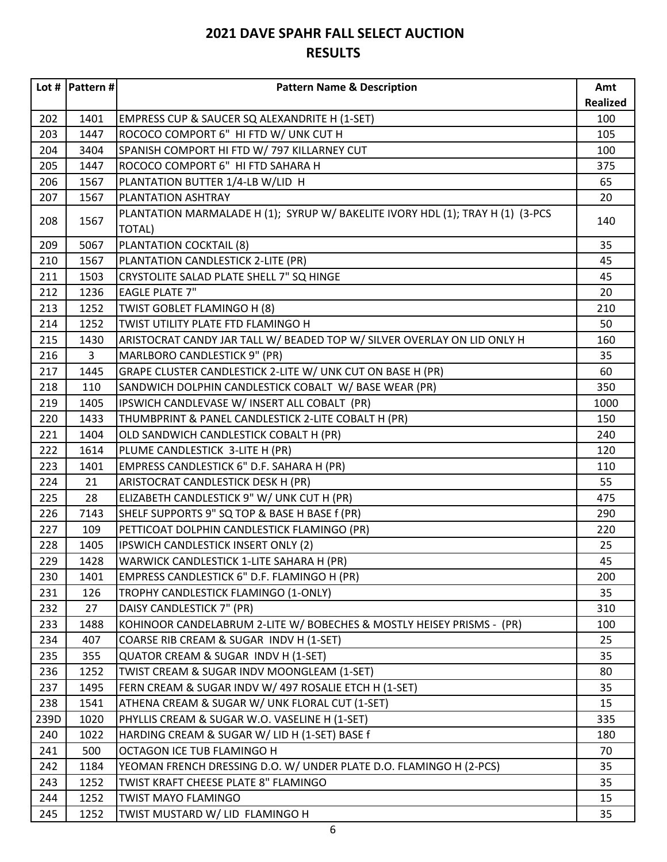|      | Lot #   Pattern # $ $ | <b>Pattern Name &amp; Description</b>                                                    | Amt             |
|------|-----------------------|------------------------------------------------------------------------------------------|-----------------|
|      |                       |                                                                                          | <b>Realized</b> |
| 202  | 1401                  | EMPRESS CUP & SAUCER SQ ALEXANDRITE H (1-SET)                                            | 100             |
| 203  | 1447                  | ROCOCO COMPORT 6" HI FTD W/ UNK CUT H                                                    | 105             |
| 204  | 3404                  | SPANISH COMPORT HI FTD W/ 797 KILLARNEY CUT                                              | 100             |
| 205  | 1447                  | ROCOCO COMPORT 6" HI FTD SAHARA H                                                        | 375             |
| 206  | 1567                  | PLANTATION BUTTER 1/4-LB W/LID H                                                         | 65              |
| 207  | 1567                  | PLANTATION ASHTRAY                                                                       | 20              |
| 208  | 1567                  | PLANTATION MARMALADE H (1); SYRUP W/ BAKELITE IVORY HDL (1); TRAY H (1) (3-PCS<br>TOTAL) | 140             |
| 209  | 5067                  | PLANTATION COCKTAIL (8)                                                                  | 35              |
| 210  | 1567                  | PLANTATION CANDLESTICK 2-LITE (PR)                                                       | 45              |
| 211  | 1503                  | CRYSTOLITE SALAD PLATE SHELL 7" SQ HINGE                                                 | 45              |
| 212  | 1236                  | <b>EAGLE PLATE 7"</b>                                                                    | 20              |
| 213  | 1252                  | TWIST GOBLET FLAMINGO H (8)                                                              | 210             |
| 214  | 1252                  | TWIST UTILITY PLATE FTD FLAMINGO H                                                       | 50              |
| 215  | 1430                  | ARISTOCRAT CANDY JAR TALL W/ BEADED TOP W/ SILVER OVERLAY ON LID ONLY H                  | 160             |
| 216  | $\overline{3}$        | MARLBORO CANDLESTICK 9" (PR)                                                             | 35              |
| 217  | 1445                  | GRAPE CLUSTER CANDLESTICK 2-LITE W/ UNK CUT ON BASE H (PR)                               | 60              |
| 218  | 110                   | SANDWICH DOLPHIN CANDLESTICK COBALT W/ BASE WEAR (PR)                                    | 350             |
| 219  | 1405                  | IPSWICH CANDLEVASE W/ INSERT ALL COBALT (PR)                                             | 1000            |
| 220  | 1433                  | THUMBPRINT & PANEL CANDLESTICK 2-LITE COBALT H (PR)                                      | 150             |
| 221  | 1404                  | OLD SANDWICH CANDLESTICK COBALT H (PR)                                                   | 240             |
| 222  | 1614                  | PLUME CANDLESTICK 3-LITE H (PR)                                                          | 120             |
| 223  | 1401                  | EMPRESS CANDLESTICK 6" D.F. SAHARA H (PR)                                                | 110             |
| 224  | 21                    | ARISTOCRAT CANDLESTICK DESK H (PR)                                                       | 55              |
| 225  | 28                    | ELIZABETH CANDLESTICK 9" W/ UNK CUT H (PR)                                               | 475             |
| 226  | 7143                  | SHELF SUPPORTS 9" SQ TOP & BASE H BASE f (PR)                                            | 290             |
| 227  | 109                   | PETTICOAT DOLPHIN CANDLESTICK FLAMINGO (PR)                                              | 220             |
| 228  | 1405                  | IPSWICH CANDLESTICK INSERT ONLY (2)                                                      | 25              |
| 229  | 1428                  | WARWICK CANDLESTICK 1-LITE SAHARA H (PR)                                                 | 45              |
| 230  | 1401                  | EMPRESS CANDLESTICK 6" D.F. FLAMINGO H (PR)                                              | 200             |
| 231  | 126                   | TROPHY CANDLESTICK FLAMINGO (1-ONLY)                                                     | 35              |
| 232  | 27                    | DAISY CANDLESTICK 7" (PR)                                                                | 310             |
| 233  | 1488                  | KOHINOOR CANDELABRUM 2-LITE W/ BOBECHES & MOSTLY HEISEY PRISMS - (PR)                    | 100             |
| 234  | 407                   | COARSE RIB CREAM & SUGAR INDV H (1-SET)                                                  | 25              |
| 235  | 355                   | QUATOR CREAM & SUGAR INDV H (1-SET)                                                      | 35              |
| 236  | 1252                  | TWIST CREAM & SUGAR INDV MOONGLEAM (1-SET)                                               | 80              |
| 237  | 1495                  | FERN CREAM & SUGAR INDV W/ 497 ROSALIE ETCH H (1-SET)                                    | 35              |
| 238  | 1541                  | ATHENA CREAM & SUGAR W/ UNK FLORAL CUT (1-SET)                                           | 15              |
| 239D | 1020                  | PHYLLIS CREAM & SUGAR W.O. VASELINE H (1-SET)                                            | 335             |
| 240  | 1022                  | HARDING CREAM & SUGAR W/ LID H (1-SET) BASE f                                            | 180             |
| 241  | 500                   | OCTAGON ICE TUB FLAMINGO H                                                               | 70              |
| 242  | 1184                  | YEOMAN FRENCH DRESSING D.O. W/ UNDER PLATE D.O. FLAMINGO H (2-PCS)                       | 35              |
| 243  | 1252                  | TWIST KRAFT CHEESE PLATE 8" FLAMINGO                                                     | 35              |
| 244  | 1252                  | TWIST MAYO FLAMINGO                                                                      | 15              |
| 245  | 1252                  | TWIST MUSTARD W/ LID FLAMINGO H                                                          | 35              |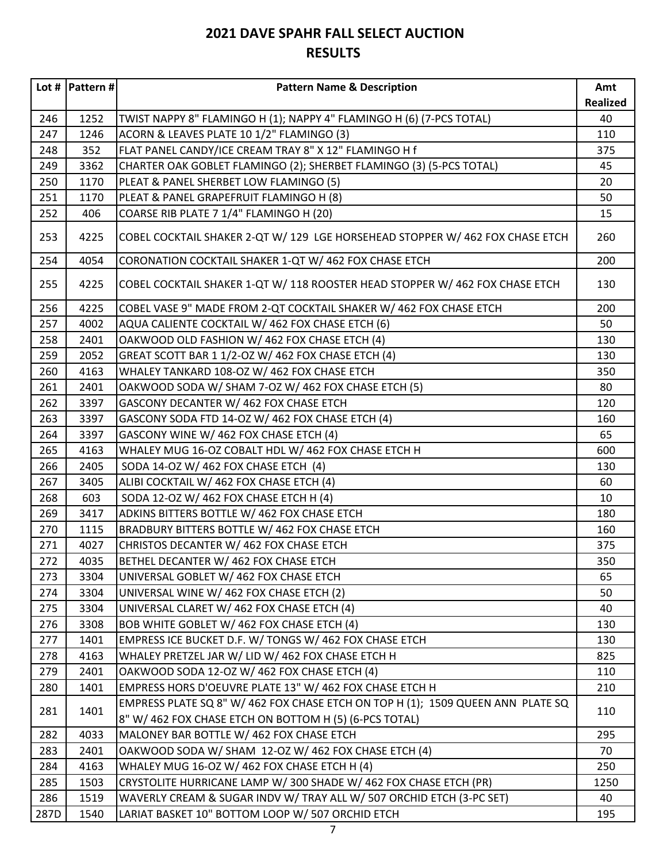|      | Lot #   Pattern # $ $ | <b>Pattern Name &amp; Description</b>                                                                                                     | Amt             |
|------|-----------------------|-------------------------------------------------------------------------------------------------------------------------------------------|-----------------|
|      |                       |                                                                                                                                           | <b>Realized</b> |
| 246  | 1252                  | TWIST NAPPY 8" FLAMINGO H (1); NAPPY 4" FLAMINGO H (6) (7-PCS TOTAL)                                                                      | 40              |
| 247  | 1246                  | ACORN & LEAVES PLATE 10 1/2" FLAMINGO (3)                                                                                                 | 110             |
| 248  | 352                   | FLAT PANEL CANDY/ICE CREAM TRAY 8" X 12" FLAMINGO H f                                                                                     | 375             |
| 249  | 3362                  | CHARTER OAK GOBLET FLAMINGO (2); SHERBET FLAMINGO (3) (5-PCS TOTAL)                                                                       | 45              |
| 250  | 1170                  | PLEAT & PANEL SHERBET LOW FLAMINGO (5)                                                                                                    | 20              |
| 251  | 1170                  | PLEAT & PANEL GRAPEFRUIT FLAMINGO H (8)                                                                                                   | 50              |
| 252  | 406                   | COARSE RIB PLATE 7 1/4" FLAMINGO H (20)                                                                                                   | 15              |
| 253  | 4225                  | COBEL COCKTAIL SHAKER 2-QT W/ 129 LGE HORSEHEAD STOPPER W/ 462 FOX CHASE ETCH                                                             | 260             |
| 254  | 4054                  | CORONATION COCKTAIL SHAKER 1-QT W/ 462 FOX CHASE ETCH                                                                                     | 200             |
| 255  | 4225                  | COBEL COCKTAIL SHAKER 1-QT W/ 118 ROOSTER HEAD STOPPER W/ 462 FOX CHASE ETCH                                                              | 130             |
| 256  | 4225                  | COBEL VASE 9" MADE FROM 2-QT COCKTAIL SHAKER W/ 462 FOX CHASE ETCH                                                                        | 200             |
| 257  | 4002                  | AQUA CALIENTE COCKTAIL W/ 462 FOX CHASE ETCH (6)                                                                                          | 50              |
| 258  | 2401                  | OAKWOOD OLD FASHION W/ 462 FOX CHASE ETCH (4)                                                                                             | 130             |
| 259  | 2052                  | GREAT SCOTT BAR 1 1/2-OZ W/ 462 FOX CHASE ETCH (4)                                                                                        | 130             |
| 260  | 4163                  | WHALEY TANKARD 108-OZ W/ 462 FOX CHASE ETCH                                                                                               | 350             |
| 261  | 2401                  | OAKWOOD SODA W/ SHAM 7-OZ W/ 462 FOX CHASE ETCH (5)                                                                                       | 80              |
| 262  | 3397                  | GASCONY DECANTER W/ 462 FOX CHASE ETCH                                                                                                    | 120             |
| 263  | 3397                  | GASCONY SODA FTD 14-OZ W/ 462 FOX CHASE ETCH (4)                                                                                          | 160             |
| 264  | 3397                  | GASCONY WINE W/ 462 FOX CHASE ETCH (4)                                                                                                    | 65              |
| 265  | 4163                  | WHALEY MUG 16-OZ COBALT HDL W/ 462 FOX CHASE ETCH H                                                                                       | 600             |
| 266  | 2405                  | SODA 14-OZ W/ 462 FOX CHASE ETCH (4)                                                                                                      | 130             |
| 267  | 3405                  | ALIBI COCKTAIL W/ 462 FOX CHASE ETCH (4)                                                                                                  | 60              |
| 268  | 603                   | SODA 12-OZ W/ 462 FOX CHASE ETCH H (4)                                                                                                    | 10              |
| 269  | 3417                  | ADKINS BITTERS BOTTLE W/ 462 FOX CHASE ETCH                                                                                               | 180             |
| 270  | 1115                  | BRADBURY BITTERS BOTTLE W/ 462 FOX CHASE ETCH                                                                                             | 160             |
| 271  | 4027                  | CHRISTOS DECANTER W/ 462 FOX CHASE ETCH                                                                                                   | 375             |
| 272  | 4035                  | BETHEL DECANTER W/ 462 FOX CHASE ETCH                                                                                                     | 350             |
| 273  | 3304                  | UNIVERSAL GOBLET W/ 462 FOX CHASE ETCH                                                                                                    | 65              |
| 274  | 3304                  | UNIVERSAL WINE W/ 462 FOX CHASE ETCH (2)                                                                                                  | 50              |
| 275  | 3304                  | UNIVERSAL CLARET W/ 462 FOX CHASE ETCH (4)                                                                                                | 40              |
| 276  | 3308                  | BOB WHITE GOBLET W/ 462 FOX CHASE ETCH (4)                                                                                                | 130             |
| 277  | 1401                  | EMPRESS ICE BUCKET D.F. W/ TONGS W/ 462 FOX CHASE ETCH                                                                                    | 130             |
| 278  | 4163                  | WHALEY PRETZEL JAR W/ LID W/ 462 FOX CHASE ETCH H                                                                                         | 825             |
| 279  | 2401                  | OAKWOOD SODA 12-OZ W/ 462 FOX CHASE ETCH (4)                                                                                              | 110             |
| 280  | 1401                  | EMPRESS HORS D'OEUVRE PLATE 13" W/ 462 FOX CHASE ETCH H                                                                                   | 210             |
| 281  | 1401                  | EMPRESS PLATE SQ 8" W/ 462 FOX CHASE ETCH ON TOP H (1); 1509 QUEEN ANN PLATE SQ<br>8" W/ 462 FOX CHASE ETCH ON BOTTOM H (5) (6-PCS TOTAL) | 110             |
| 282  | 4033                  | MALONEY BAR BOTTLE W/ 462 FOX CHASE ETCH                                                                                                  | 295             |
| 283  | 2401                  | OAKWOOD SODA W/ SHAM 12-OZ W/ 462 FOX CHASE ETCH (4)                                                                                      | 70              |
| 284  | 4163                  | WHALEY MUG 16-OZ W/ 462 FOX CHASE ETCH H (4)                                                                                              | 250             |
| 285  | 1503                  | CRYSTOLITE HURRICANE LAMP W/300 SHADE W/462 FOX CHASE ETCH (PR)                                                                           | 1250            |
| 286  | 1519                  | WAVERLY CREAM & SUGAR INDV W/ TRAY ALL W/ 507 ORCHID ETCH (3-PC SET)                                                                      | 40              |
| 287D | 1540                  | LARIAT BASKET 10" BOTTOM LOOP W/ 507 ORCHID ETCH                                                                                          | 195             |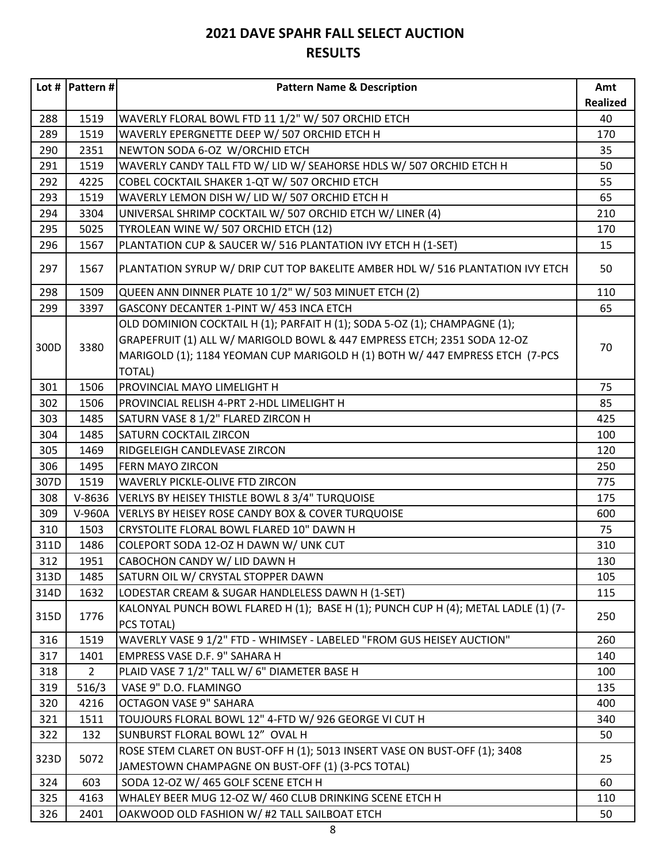|      | Lot #   Pattern # $ $ | <b>Pattern Name &amp; Description</b>                                                            | Amt             |
|------|-----------------------|--------------------------------------------------------------------------------------------------|-----------------|
|      |                       |                                                                                                  | <b>Realized</b> |
| 288  | 1519                  | WAVERLY FLORAL BOWL FTD 11 1/2" W/ 507 ORCHID ETCH                                               | 40              |
| 289  | 1519                  | WAVERLY EPERGNETTE DEEP W/ 507 ORCHID ETCH H                                                     | 170             |
| 290  | 2351                  | NEWTON SODA 6-OZ W/ORCHID ETCH                                                                   | 35              |
| 291  | 1519                  | WAVERLY CANDY TALL FTD W/ LID W/ SEAHORSE HDLS W/ 507 ORCHID ETCH H                              | 50              |
| 292  | 4225                  | COBEL COCKTAIL SHAKER 1-QT W/ 507 ORCHID ETCH                                                    | 55              |
| 293  | 1519                  | WAVERLY LEMON DISH W/ LID W/ 507 ORCHID ETCH H                                                   | 65              |
| 294  | 3304                  | UNIVERSAL SHRIMP COCKTAIL W/ 507 ORCHID ETCH W/ LINER (4)                                        | 210             |
| 295  | 5025                  | TYROLEAN WINE W/ 507 ORCHID ETCH (12)                                                            | 170             |
| 296  | 1567                  | PLANTATION CUP & SAUCER W/ 516 PLANTATION IVY ETCH H (1-SET)                                     | 15              |
| 297  | 1567                  | PLANTATION SYRUP W/ DRIP CUT TOP BAKELITE AMBER HDL W/ 516 PLANTATION IVY ETCH                   | 50              |
| 298  | 1509                  | QUEEN ANN DINNER PLATE 10 1/2" W/ 503 MINUET ETCH (2)                                            | 110             |
| 299  | 3397                  | GASCONY DECANTER 1-PINT W/ 453 INCA ETCH                                                         | 65              |
|      |                       | OLD DOMINION COCKTAIL H (1); PARFAIT H (1); SODA 5-OZ (1); CHAMPAGNE (1);                        |                 |
| 300D | 3380                  | GRAPEFRUIT (1) ALL W/ MARIGOLD BOWL & 447 EMPRESS ETCH; 2351 SODA 12-OZ                          | 70              |
|      |                       | MARIGOLD (1); 1184 YEOMAN CUP MARIGOLD H (1) BOTH W/ 447 EMPRESS ETCH (7-PCS                     |                 |
|      |                       | <b>TOTAL)</b>                                                                                    |                 |
| 301  | 1506                  | PROVINCIAL MAYO LIMELIGHT H                                                                      | 75              |
| 302  | 1506                  | PROVINCIAL RELISH 4-PRT 2-HDL LIMELIGHT H                                                        | 85              |
| 303  | 1485                  | SATURN VASE 8 1/2" FLARED ZIRCON H                                                               | 425             |
| 304  | 1485                  | SATURN COCKTAIL ZIRCON                                                                           | 100             |
| 305  | 1469                  | RIDGELEIGH CANDLEVASE ZIRCON                                                                     | 120             |
| 306  | 1495                  | <b>FERN MAYO ZIRCON</b>                                                                          | 250             |
| 307D | 1519                  | WAVERLY PICKLE-OLIVE FTD ZIRCON                                                                  | 775             |
| 308  | $V-8636$              | VERLYS BY HEISEY THISTLE BOWL 8 3/4" TURQUOISE                                                   | 175             |
| 309  | V-960A                | VERLYS BY HEISEY ROSE CANDY BOX & COVER TURQUOISE                                                | 600             |
| 310  | 1503                  | CRYSTOLITE FLORAL BOWL FLARED 10" DAWN H                                                         | 75              |
| 311D | 1486                  | COLEPORT SODA 12-OZ H DAWN W/ UNK CUT                                                            | 310             |
| 312  | 1951                  | CABOCHON CANDY W/ LID DAWN H                                                                     | 130             |
| 313D | 1485                  | SATURN OIL W/ CRYSTAL STOPPER DAWN                                                               | 105             |
| 314D | 1632                  | LODESTAR CREAM & SUGAR HANDLELESS DAWN H (1-SET)                                                 | 115             |
| 315D | 1776                  | KALONYAL PUNCH BOWL FLARED H (1); BASE H (1); PUNCH CUP H (4); METAL LADLE (1) (7-<br>PCS TOTAL) | 250             |
| 316  | 1519                  | WAVERLY VASE 9 1/2" FTD - WHIMSEY - LABELED "FROM GUS HEISEY AUCTION"                            | 260             |
| 317  | 1401                  | EMPRESS VASE D.F. 9" SAHARA H                                                                    | 140             |
| 318  | $\overline{2}$        | PLAID VASE 7 1/2" TALL W/ 6" DIAMETER BASE H                                                     | 100             |
| 319  | 516/3                 | VASE 9" D.O. FLAMINGO                                                                            | 135             |
| 320  | 4216                  | <b>OCTAGON VASE 9" SAHARA</b>                                                                    | 400             |
| 321  | 1511                  | TOUJOURS FLORAL BOWL 12" 4-FTD W/ 926 GEORGE VI CUT H                                            | 340             |
| 322  | 132                   | SUNBURST FLORAL BOWL 12" OVAL H                                                                  | 50              |
| 323D | 5072                  | ROSE STEM CLARET ON BUST-OFF H (1); 5013 INSERT VASE ON BUST-OFF (1); 3408                       | 25              |
|      |                       | JAMESTOWN CHAMPAGNE ON BUST-OFF (1) (3-PCS TOTAL)                                                |                 |
| 324  | 603                   | SODA 12-OZ W/ 465 GOLF SCENE ETCH H                                                              | 60              |
| 325  | 4163                  | WHALEY BEER MUG 12-OZ W/ 460 CLUB DRINKING SCENE ETCH H                                          | 110             |
| 326  | 2401                  | OAKWOOD OLD FASHION W/ #2 TALL SAILBOAT ETCH                                                     | 50              |